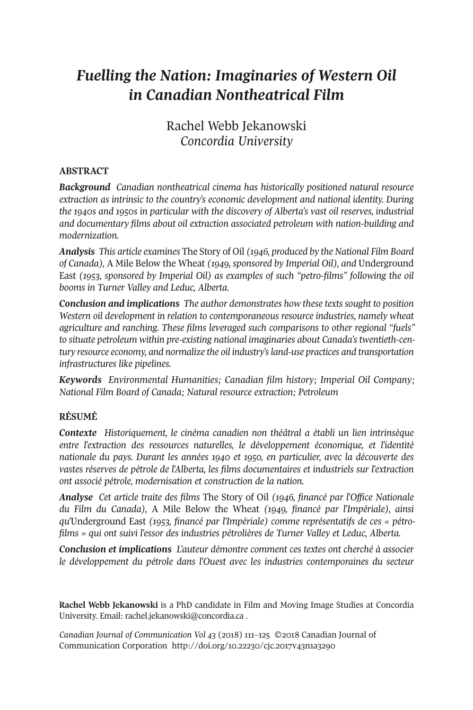# *Fuelling the Nation: Imaginaries of Western Oil in Canadian Nontheatrical Film*

# Rachel Webb Jekanowski *Concordia University*

## **ABSTRACT**

*Background Canadian nontheatrical cinema has historically positioned natural resource extraction as intrinsic to the country's economic development and national identity. During the 1940s and 1950s in particular with the discovery of Alberta's vast oil reserves, industrial and documentary films about oil extraction associated petroleum with nation-building and modernization.*

*Analysis This article examines* The Story of Oil *(1946, produced by the National Film Board of Canada),* A Mile Below the Wheat *(1949, sponsored by Imperial Oil), and* Underground East *(1953, sponsored by Imperial Oil) as examples of such "petro-films" following the oil booms in Turner Valley and Leduc, Alberta.*

*Conclusion and implications The author demonstrates how these texts sought to position Western oil development in relation to contemporaneous resource industries, namely wheat agriculture and ranching. These films leveraged such comparisons to other regional "fuels" to situate petroleum within pre-existing national imaginaries about Canada's twentieth-century resource economy, and normalize the oil industry'sland-use practices and transportation infrastructures like pipelines.*

*Keywords Environmental Humanities; Canadian film history; Imperial Oil Company; National Film Board of Canada; Natural resource extraction; Petroleum*

# **RÉSUMÉ**

*Contexte Historiquement, le cinéma canadien non théâtral a établi un lien intrinsèque entre l'extraction des ressources naturelles, le développement économique, et l'identité nationale du pays. Durant les années 1940 et 1950, en particulier, avec la découverte des vastes réserves de pétrole de l'Alberta, les films documentaires et industriels sur l'extraction ont associé pétrole, modernisation et construction de la nation.*

*Analyse Cet article traite des films* The Story of Oil *(1946, financé par l'Office Nationale du Film du Canada),* A Mile Below the Wheat *(1949, financé par l'Impériale), ainsi qu'*Underground East *(1953, financé par l'Impériale) comme représentatifs de ces « pétrofilms » qui ont suivi l'essor des industries pétrolières de Turner Valley et Leduc, Alberta.*

*Conclusion et implications L'auteur démontre comment ces textes ont cherché à associer le développement du pétrole dans l'Ouest avec les industries contemporaines du secteur*

**Rachel Webb Jekanowski** is a PhD candidate in Film and Moving Image Studies at Concordia University. Email: [rachel.jekanowski@concordia.ca](mailto:rachel.jekanowski@concordia.ca) .

*Canadian Journal of [Communication](http://www.cjc-online.ca) Vol 43* (2018) 111–125 ©2018 Canadian Journal of Communication Corporation <http://doi.org/10.22230/cjc.2017v43n1a3290>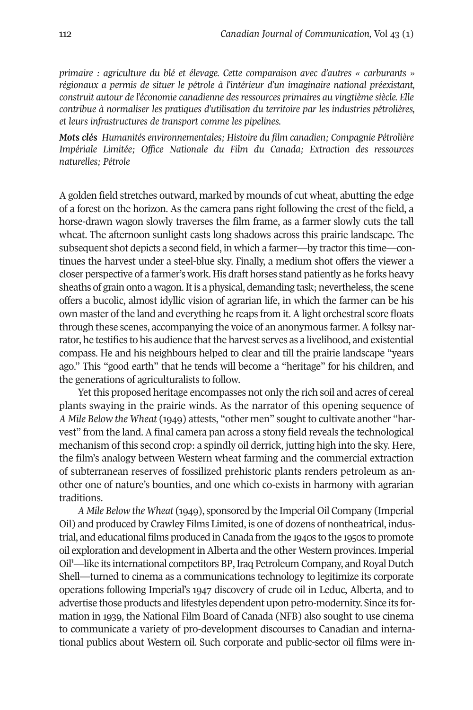*primaire : agriculture du blé et élevage. Cette comparaison avec d'autres « carburants » régionaux a permis de situer le pétrole à l'intérieur d'un imaginaire national préexistant, construit autour de l'économie canadienne des ressources primaires au vingtième siècle. Elle contribue à normaliser les pratiques d'utilisation du territoire par les industries pétrolières, et leurs infrastructures de transport comme les pipelines.*

*Mots clés Humanités environnementales; Histoire du film canadien; Compagnie Pétrolière Impériale Limitée; Office Nationale du Film du Canada; Extraction des ressources naturelles; Pétrole*

A golden field stretches outward, marked by mounds of cut wheat, abutting the edge of a forest on the horizon. As the camera pans right following the crest of the field, a horse-drawn wagon slowly traverses the film frame, as a farmer slowly cuts the tall wheat. The afternoon sunlight casts long shadows across this prairie landscape. The subsequent shot depicts a second field, in which a farmer—by tractorthis time—continues the harvest under a steel-blue sky. Finally, a medium shot offers the viewer a closer perspective of a farmer's work. His draft horses stand patiently as he forks heavy sheaths of grain onto a wagon. It is a physical, demanding task; nevertheless, the scene offers a bucolic, almost idyllic vision of agrarian life, in which the farmer can be his own master of the land and everything he reaps from it. A light orchestral score floats through these scenes, accompanying the voice of an anonymous farmer. A folksy narrator, he testifies to his audience that the harvest serves as a livelihood, and existential compass. He and his neighbours helped to clear and till the prairie landscape "years ago." This "good earth" that he tends will become a "heritage" for his children, and the generations of agriculturalists to follow.

Yet this proposed heritage encompasses not only the rich soil and acres of cereal plants swaying in the prairie winds. As the narrator of this opening sequence of *A Mile Below the Wheat* (1949) attests, "other men" sought to cultivate another "harvest" from the land. A final camera pan across a stony field reveals the technological mechanism of this second crop: a spindly oil derrick, jutting high into the sky. Here, the film's analogy between Western wheat farming and the commercial extraction of subterranean reserves of fossilized prehistoric plants renders petroleum as another one of nature's bounties, and one which co-exists in harmony with agrarian traditions.

*A Mile Below the Wheat* (1949), sponsored by the Imperial Oil Company (Imperial Oil) and produced by Crawley Films Limited, is one of dozens of nontheatrical, industrial, and educational films produced in Canada from the 1940s to the 1950s to promote oil exploration and developmentinAlberta and the other Western provinces.Imperial Oil<sup>[1](#page-12-0)</sup>-like its international competitors BP, Iraq Petroleum Company, and Royal Dutch Shell—turned to cinema as a communications technology to legitimize its corporate operations following Imperial's 1947 discovery of crude oil in Leduc, Alberta, and to advertise those products and lifestyles dependent upon petro-modernity. Since its formation in 1939, the National Film Board of Canada (NFB) also sought to use cinema to communicate a variety of pro-development discourses to Canadian and international publics about Western oil. Such corporate and public-sector oil films were in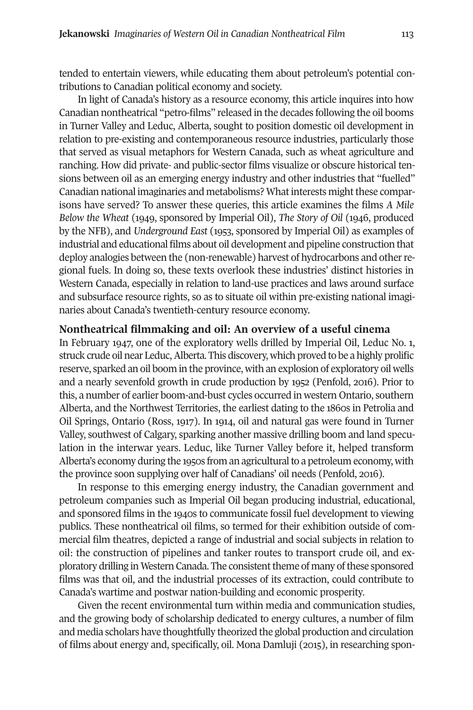tended to entertain viewers, while educating them about petroleum's potential contributions to Canadian political economy and society.

In light of Canada's history as a resource economy, this article inquires into how Canadian nontheatrical "petro-films" released in the decades following the oil booms in Turner Valley and Leduc, Alberta, sought to position domestic oil development in relation to pre-existing and contemporaneous resource industries, particularly those that served as visual metaphors for Western Canada, such as wheat agriculture and ranching. How did private- and public-sector films visualize or obscure historical tensions between oil as an emerging energy industry and other industries that "fuelled" Canadian national imaginaries and metabolisms? What interests might these comparisons have served? To answer these queries, this article examines the films *A Mile Below the Wheat* (1949, sponsored by Imperial Oil), *The Story of Oil* (1946, produced by the NFB), and *Underground East* (1953, sponsored by Imperial Oil) as examples of industrial and educational films about oil development and pipeline construction that deploy analogies between the (non-renewable) harvest of hydrocarbons and otherregional fuels. In doing so, these texts overlook these industries' distinct histories in Western Canada, especially in relation to land-use practices and laws around surface and subsurface resource rights, so as to situate oil within pre-existing national imaginaries about Canada's twentieth-century resource economy.

#### **Nontheatrical filmmaking and oil: An overview of a useful cinema**

In February 1947, one of the exploratory wells drilled by Imperial Oil, Leduc No. 1, struck crude oil near Leduc, Alberta. This discovery, which proved to be a highly prolific reserve, sparked an oil boom in the province, with an explosion of exploratory oil wells and a nearly sevenfold growth in crude production by 1952 (Penfold, 2016). Prior to this, a number of earlier boom-and-bust cycles occurred in western Ontario, southern Alberta, and the Northwest Territories, the earliest dating to the 1860s in Petrolia and Oil Springs, Ontario (Ross, 1917). In 1914, oil and natural gas were found in Turner Valley, southwest of Calgary, sparking another massive drilling boom and land speculation in the interwar years. Leduc, like Turner Valley before it, helped transform Alberta's economy during the 1950s from an agricultural to a petroleum economy, with the province soon supplying over half of Canadians' oil needs (Penfold, 2016).

In response to this emerging energy industry, the Canadian government and petroleum companies such as Imperial Oil began producing industrial, educational, and sponsored films in the 1940s to communicate fossil fuel development to viewing publics. These nontheatrical oil films, so termed for their exhibition outside of commercial film theatres, depicted a range of industrial and social subjects in relation to oil: the construction of pipelines and tanker routes to transport crude oil, and exploratory drilling in Western Canada. The consistenttheme of many ofthese sponsored films was that oil, and the industrial processes of its extraction, could contribute to Canada's wartime and postwar nation-building and economic prosperity.

Given the recent environmental turn within media and communication studies, and the growing body of scholarship dedicated to energy cultures, a number of film and media scholars have thoughtfully theorized the global production and circulation of films about energy and, specifically, oil. Mona Damluji (2015), in researching spon-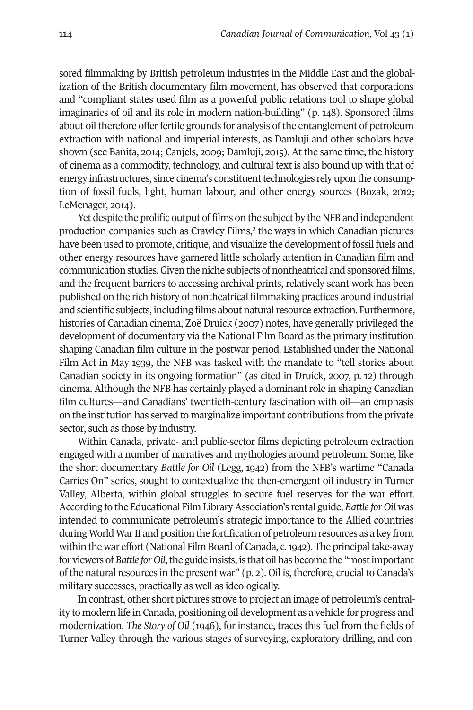sored filmmaking by British petroleum industries in the Middle East and the globalization of the British documentary film movement, has observed that corporations and "compliant states used film as a powerful public relations tool to shape global imaginaries of oil and its role in modern nation-building" (p. 148). Sponsored films about oil therefore offer fertile grounds for analysis of the entanglement of petroleum extraction with national and imperial interests, as Damluji and other scholars have shown (see Banita, 2014; Canjels, 2009; Damluji, 2015). At the same time, the history of cinema as a commodity, technology, and cultural text is also bound up with that of energy infrastructures, since cinema's constituent technologies rely upon the consumption of fossil fuels, light, human labour, and other energy sources (Bozak, 2012; LeMenager, 2014).

Yet despite the prolific output of films on the subject by the NFB and independent production companies such as Crawley Films, [2](#page-12-1) the ways in which Canadian pictures have been used to promote, critique, and visualize the development of fossil fuels and other energy resources have garnered little scholarly attention in Canadian film and communication studies.Given the niche subjects of nontheatrical and sponsored films, and the frequent barriers to accessing archival prints, relatively scant work has been published on the rich history of nontheatrical filmmaking practices around industrial and scientific subjects, including films about natural resource extraction. Furthermore, histories of Canadian cinema, Zoë Druick (2007) notes, have generally privileged the development of documentary via the National Film Board as the primary institution shaping Canadian film culture in the postwar period. Established under the National Film Act in May 1939, the NFB was tasked with the mandate to "tell stories about Canadian society in its ongoing formation" (as cited in Druick, 2007, p. 12) through cinema. Although the NFB has certainly played a dominant role in shaping Canadian film cultures—and Canadians' twentieth-century fascination with oil—an emphasis on the institution has served to marginalize important contributions from the private sector, such as those by industry.

Within Canada, private- and public-sector films depicting petroleum extraction engaged with a number of narratives and mythologies around petroleum. Some, like the short documentary *Battle for Oil* (Legg, 1942) from the NFB's wartime "Canada Carries On" series, sought to contextualize the then-emergent oil industry in Turner Valley, Alberta, within global struggles to secure fuel reserves for the war effort. According to the Educational Film LibraryAssociation's rental guide, *Battle for Oil* was intended to communicate petroleum's strategic importance to the Allied countries during World WarII and position the fortification of petroleum resources as a key front within the war effort (National Film Board of Canada, c.1942). The principaltake-away for viewers of *Battle* for *Oil*, the guide insists, is that oil has become the "most important" of the natural resources in the present war"  $(p, 2)$ . Oil is, therefore, crucial to Canada's military successes, practically as well as ideologically.

In contrast, other short pictures strove to project an image of petroleum's centrality to modern life in Canada, positioning oil development as a vehicle for progress and modernization. *The Story of Oil* (1946), for instance, traces this fuel from the fields of Turner Valley through the various stages of surveying, exploratory drilling, and con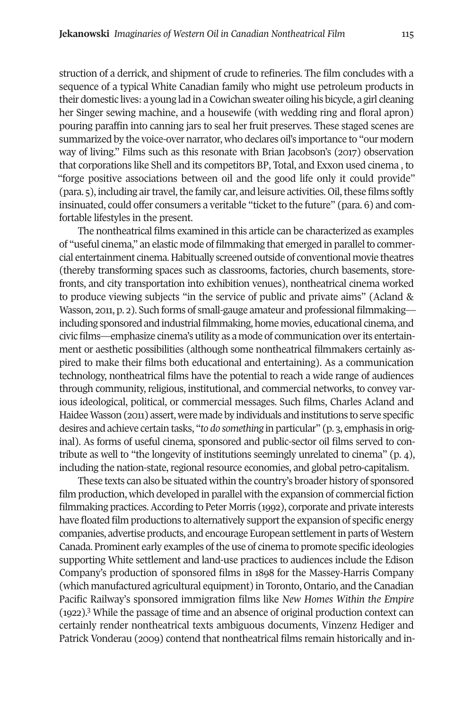struction of a derrick, and shipment of crude to refineries. The film concludes with a sequence of a typical White Canadian family who might use petroleum products in their domestic lives: a young lad in a Cowichan sweater oiling his bicycle, a girl cleaning her Singer sewing machine, and a housewife (with wedding ring and floral apron) pouring paraffin into canning jars to seal her fruit preserves. These staged scenes are summarized by the voice-over narrator, who declares oil's importance to "our modern way of living." Films such as this resonate with Brian Jacobson's (2017) observation that corporations like Shell and its competitors BP, Total, and Exxon used cinema , to "forge positive associations between oil and the good life only it could provide" (para. 5), including air travel, the family car, and leisure activities. Oil, these films softly insinuated, could offer consumers a veritable "ticket to the future" (para. 6) and comfortable lifestyles in the present.

The nontheatrical films examined in this article can be characterized as examples of "useful cinema," an elastic mode of filmmaking that emerged in parallelto commercial entertainment cinema. Habitually screened outside of conventional movie theatres (thereby transforming spaces such as classrooms, factories, church basements, storefronts, and city transportation into exhibition venues), nontheatrical cinema worked to produce viewing subjects "in the service of public and private aims" (Acland & Wasson, 2011, p. 2). Such forms of small-gauge amateur and professional filmmaking including sponsored and industrial filmmaking, home movies, educational cinema, and civic films—emphasize cinema's utility as a mode of communication overits entertainment or aesthetic possibilities (although some nontheatrical filmmakers certainly aspired to make their films both educational and entertaining). As a communication technology, nontheatrical films have the potential to reach a wide range of audiences through community, religious, institutional, and commercial networks, to convey various ideological, political, or commercial messages. Such films, Charles Acland and HaideeWasson (2011) assert, were made by individuals and institutions to serve specific desires and achieve certain tasks, "*to do something* in particular" (p. 3, emphasis in original). As forms of useful cinema, sponsored and public-sector oil films served to contribute as well to "the longevity of institutions seemingly unrelated to cinema" (p. 4), including the nation-state, regional resource economies, and global petro-capitalism.

These texts can also be situated within the country's broader history of sponsored film production, which developed in parallel with the expansion of commercial fiction filmmaking practices.According to Peter Morris (1992), corporate and private interests have floated film productions to alternatively support the expansion of specific energy companies, advertise products, and encourage European settlementin parts of Western Canada. Prominent early examples of the use of cinema to promote specific ideologies supporting White settlement and land-use practices to audiences include the Edison Company's production of sponsored films in 1898 for the Massey-Harris Company (which manufactured agricultural equipment) in Toronto, Ontario, and the Canadian Pacific Railway's sponsored immigration films like *New Homes Within the Empire* (1922). [3](#page-12-2) While the passage of time and an absence of original production context can certainly render nontheatrical texts ambiguous documents, Vinzenz Hediger and Patrick Vonderau (2009) contend that nontheatrical films remain historically and in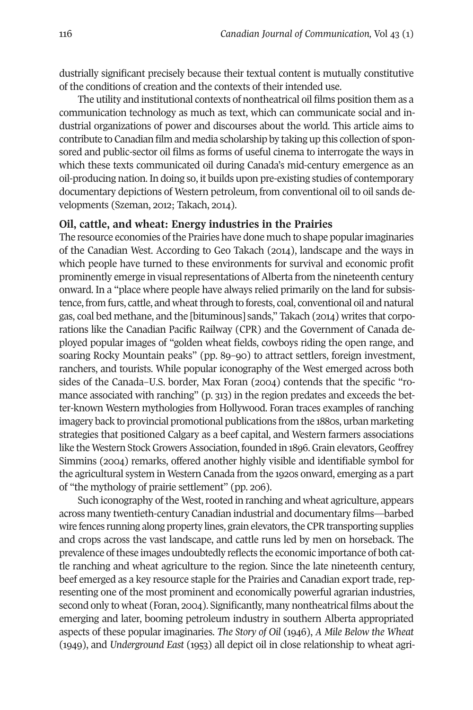dustrially significant precisely because their textual content is mutually constitutive of the conditions of creation and the contexts of their intended use.

The utility and institutional contexts of nontheatrical oil films position them as a communication technology as much as text, which can communicate social and industrial organizations of power and discourses about the world. This article aims to contribute to Canadian film and media scholarship by taking up this collection of sponsored and public-sector oil films as forms of useful cinema to interrogate the ways in which these texts communicated oil during Canada's mid-century emergence as an oil-producing nation. In doing so, it builds upon pre-existing studies of contemporary documentary depictions of Western petroleum, from conventional oil to oil sands developments (Szeman, 2012; Takach, 2014).

#### **Oil, cattle, and wheat: Energy industries in the Prairies**

The resource economies of the Prairies have done much to shape popular imaginaries of the Canadian West. According to Geo Takach (2014), landscape and the ways in which people have turned to these environments for survival and economic profit prominently emerge in visual representations of Alberta from the nineteenth century onward. In a "place where people have always relied primarily on the land for subsistence, from furs, cattle, and wheat through to forests, coal, conventional oil and natural gas, coal bed methane, and the [bituminous] sands," Takach (2014) writes that corporations like the Canadian Pacific Railway (CPR) and the Government of Canada deployed popular images of "golden wheat fields, cowboys riding the open range, and soaring Rocky Mountain peaks" (pp. 89–90) to attract settlers, foreign investment, ranchers, and tourists. While popular iconography of the West emerged across both sides of the Canada–U.S. border, Max Foran (2004) contends that the specific "romance associated with ranching" (p. 313) in the region predates and exceeds the better-known Western mythologies from Hollywood. Foran traces examples of ranching imagery back to provincial promotional publications from the 1880s, urban marketing strategies that positioned Calgary as a beef capital, and Western farmers associations like the Western Stock Growers Association, founded in 1896. Grain elevators, Geoffrey Simmins (2004) remarks, offered another highly visible and identifiable symbol for the agricultural system in Western Canada from the 1920s onward, emerging as a part of "the mythology of prairie settlement" (pp. 206).

Such iconography of the West, rooted in ranching and wheat agriculture, appears across many twentieth-century Canadian industrial and documentary films—barbed wire fences running along property lines, grain elevators, the CPR transporting supplies and crops across the vast landscape, and cattle runs led by men on horseback. The prevalence ofthese images undoubtedly reflects the economic importance of both cattle ranching and wheat agriculture to the region. Since the late nineteenth century, beef emerged as a key resource staple for the Prairies and Canadian export trade, representing one of the most prominent and economically powerful agrarian industries, second only to wheat (Foran, 2004). Significantly, many nontheatrical films about the emerging and later, booming petroleum industry in southern Alberta appropriated aspects of these popular imaginaries. *The Story of Oil* (1946), *A Mile Below the Wheat* (1949), and *Underground East* (1953) all depict oil in close relationship to wheat agri-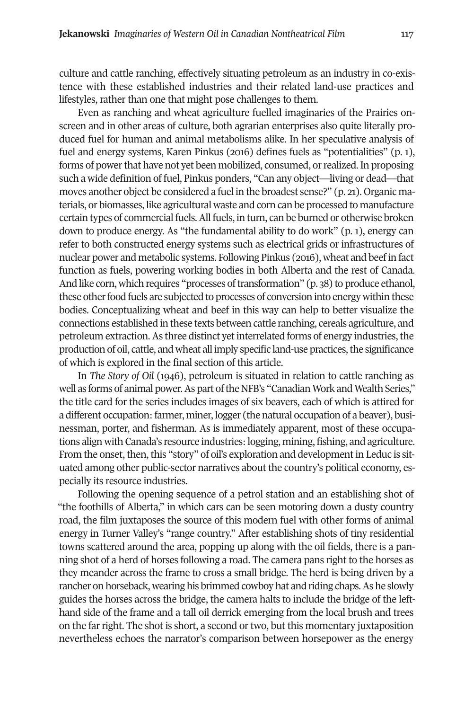culture and cattle ranching, effectively situating petroleum as an industry in co-existence with these established industries and their related land-use practices and lifestyles, rather than one that might pose challenges to them.

Even as ranching and wheat agriculture fuelled imaginaries of the Prairies onscreen and in other areas of culture, both agrarian enterprises also quite literally produced fuel for human and animal metabolisms alike. In her speculative analysis of fuel and energy systems, Karen Pinkus (2016) defines fuels as "potentialities" (p. 1), forms of power that have not yet been mobilized, consumed, or realized. In proposing such a wide definition of fuel, Pinkus ponders, "Can any object—living or dead—that moves another object be considered a fuel in the broadest sense?" (p. 21). Organic materials, or biomasses, like agricultural waste and corn can be processed to manufacture certain types of commercial fuels.All fuels, in turn, can be burned or otherwise broken down to produce energy. As "the fundamental ability to do work" (p. 1), energy can refer to both constructed energy systems such as electrical grids or infrastructures of nuclear power and metabolic systems. Following Pinkus (2016), wheat and beef in fact function as fuels, powering working bodies in both Alberta and the rest of Canada. And like corn, which requires "processes of transformation" (p. 38) to produce ethanol, these other food fuels are subjected to processes of conversion into energy within these bodies. Conceptualizing wheat and beef in this way can help to better visualize the connections established in these texts between cattle ranching, cereals agriculture, and petroleum extraction. As three distinct yet interrelated forms of energy industries, the production of oil, cattle, and wheat all imply specific land-use practices, the significance of which is explored in the final section of this article.

In *The Story of Oil* (1946), petroleum is situated in relation to cattle ranching as well as forms of animal power. As part of the NFB's "Canadian Work and Wealth Series," the title card for the series includes images of six beavers, each of which is attired for a different occupation:farmer, miner, logger (the natural occupation of a beaver), businessman, porter, and fisherman. As is immediately apparent, most of these occupations align with Canada's resource industries:logging, mining, fishing, and agriculture. From the onset, then, this "story" of oil's exploration and development in Leduc is situated among other public-sector narratives about the country's political economy, especially its resource industries.

Following the opening sequence of a petrol station and an establishing shot of "the foothills of Alberta," in which cars can be seen motoring down a dusty country road, the film juxtaposes the source of this modern fuel with other forms of animal energy in Turner Valley's "range country." After establishing shots of tiny residential towns scattered around the area, popping up along with the oil fields, there is a panning shot of a herd of horses following a road. The camera pans right to the horses as they meander across the frame to cross a small bridge. The herd is being driven by a rancher on horseback, wearing his brimmed cowboy hat and riding chaps. As he slowly guides the horses across the bridge, the camera halts to include the bridge of the lefthand side of the frame and a tall oil derrick emerging from the local brush and trees on the far right. The shot is short, a second or two, but this momentary juxtaposition nevertheless echoes the narrator's comparison between horsepower as the energy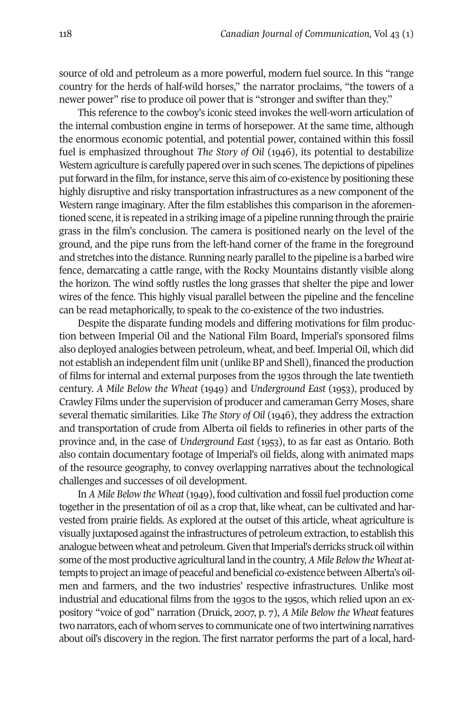source of old and petroleum as a more powerful, modern fuel source. In this "range country for the herds of half-wild horses," the narrator proclaims, "the towers of a newer power" rise to produce oil power that is "stronger and swifter than they."

This reference to the cowboy's iconic steed invokes the well-worn articulation of the internal combustion engine in terms of horsepower. At the same time, although the enormous economic potential, and potential power, contained within this fossil fuel is emphasized throughout *The Story of Oil* (1946), its potential to destabilize Western agriculture is carefully papered over in such scenes. The depictions of pipelines put forward in the film, for instance, serve this aim of co-existence by positioning these highly disruptive and risky transportation infrastructures as a new component of the Western range imaginary. After the film establishes this comparison in the aforementioned scene, itis repeated in a striking image of a pipeline running through the prairie grass in the film's conclusion. The camera is positioned nearly on the level of the ground, and the pipe runs from the left-hand corner of the frame in the foreground and stretches into the distance. Running nearly parallel to the pipeline is a barbed wire fence, demarcating a cattle range, with the Rocky Mountains distantly visible along the horizon. The wind softly rustles the long grasses that shelter the pipe and lower wires of the fence. This highly visual parallel between the pipeline and the fenceline can be read metaphorically, to speak to the co-existence of the two industries.

Despite the disparate funding models and differing motivations for film production between Imperial Oil and the National Film Board, Imperial's sponsored films also deployed analogies between petroleum, wheat, and beef. Imperial Oil, which did not establish an independent film unit (unlike BP and Shell), financed the production of films for internal and external purposes from the 1930s through the late twentieth century. *A Mile Below the Wheat* (1949) and *Underground East* (1953), produced by Crawley Films under the supervision of producer and cameraman Gerry Moses, share several thematic similarities. Like *The Story of Oil* (1946), they address the extraction and transportation of crude from Alberta oil fields to refineries in other parts of the province and, in the case of *Underground East* (1953), to as far east as Ontario. Both also contain documentary footage of Imperial's oil fields, along with animated maps of the resource geography, to convey overlapping narratives about the technological challenges and successes of oil development.

In *A Mile Below the Wheat* (1949), food cultivation and fossil fuel production come together in the presentation of oil as a crop that, like wheat, can be cultivated and harvested from prairie fields. As explored at the outset of this article, wheat agriculture is visually juxtaposed against the infrastructures of petroleum extraction, to establish this analogue between wheat and petroleum. Given that Imperial's derricks struck oil within some of the most productive agricultural land in the country, A Mile Below the Wheat attempts to project an image of peaceful and beneficial co-existence between Alberta's oilmen and farmers, and the two industries' respective infrastructures. Unlike most industrial and educational films from the 1930s to the 1950s, which relied upon an expository "voice of god" narration (Druick, 2007, p. 7), *A Mile Below the Wheat* features two narrators, each of whom serves to communicate one of two intertwining narratives about oil's discovery in the region. The first narrator performs the part of a local, hard-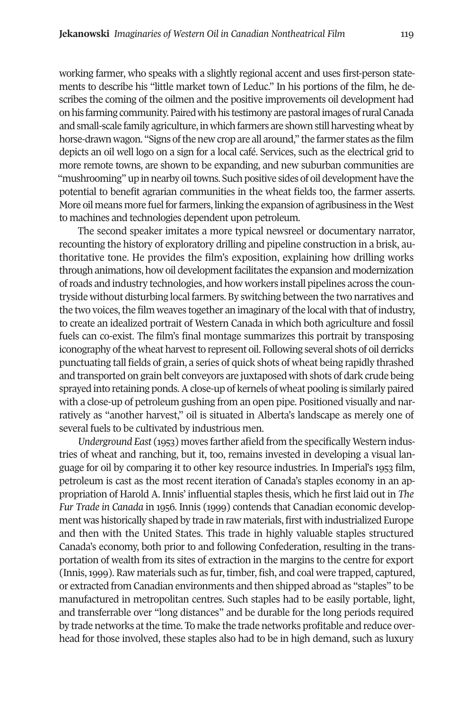working farmer, who speaks with a slightly regional accent and uses first-person statements to describe his "little market town of Leduc." In his portions of the film, he describes the coming of the oilmen and the positive improvements oil development had on his farming community. Paired with his testimony are pastoral images of rural Canada and small-scale family agriculture, in which farmers are shown still harvesting wheat by horse-drawn wagon. "Signs of the new crop are all around," the farmer states as the film depicts an oil well logo on a sign for a local café. Services, such as the electrical grid to more remote towns, are shown to be expanding, and new suburban communities are "mushrooming" up in nearby oil towns. Such positive sides of oil development have the potential to benefit agrarian communities in the wheat fields too, the farmer asserts. More oil means more fuel for farmers, linking the expansion of agribusiness in the West to machines and technologies dependent upon petroleum.

The second speaker imitates a more typical newsreel or documentary narrator, recounting the history of exploratory drilling and pipeline construction in a brisk, authoritative tone. He provides the film's exposition, explaining how drilling works through animations, how oil developmentfacilitates the expansion and modernization ofroads and industry technologies, and how workers install pipelines across the countryside without disturbing local farmers. By switching between the two narratives and the two voices, the film weaves together an imaginary of the local with that of industry, to create an idealized portrait of Western Canada in which both agriculture and fossil fuels can co-exist. The film's final montage summarizes this portrait by transposing iconography of the wheat harvest to represent oil. Following several shots of oil derricks punctuating tall fields of grain, a series of quick shots of wheat being rapidly thrashed and transported on grain belt conveyors are juxtaposed with shots of dark crude being sprayed into retaining ponds. A close-up of kernels of wheat pooling is similarly paired with a close-up of petroleum gushing from an open pipe. Positioned visually and narratively as "another harvest," oil is situated in Alberta's landscape as merely one of several fuels to be cultivated by industrious men.

*Underground East* (1953) moves farther afield from the specifically Western industries of wheat and ranching, but it, too, remains invested in developing a visual language for oil by comparing it to other key resource industries. In Imperial's 1953 film, petroleum is cast as the most recent iteration of Canada's staples economy in an appropriation of Harold A. Innis' influential staples thesis, which he first laid out in *The Fur Trade in Canada* in 1956. Innis (1999) contends that Canadian economic development was historically shaped by trade in raw materials, first with industrialized Europe and then with the United States. This trade in highly valuable staples structured Canada's economy, both prior to and following Confederation, resulting in the transportation of wealth from its sites of extraction in the margins to the centre for export (Innis,1999). Raw materials such as fur, timber, fish, and coal were trapped, captured, or extracted from Canadian environments and then shipped abroad as "staples" to be manufactured in metropolitan centres. Such staples had to be easily portable, light, and transferrable over "long distances" and be durable for the long periods required by trade networks atthe time. To make the trade networks profitable and reduce overhead for those involved, these staples also had to be in high demand, such as luxury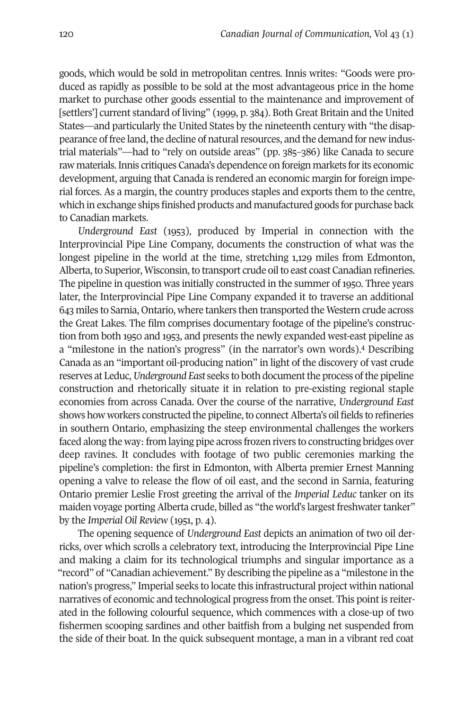goods, which would be sold in metropolitan centres. Innis writes: "Goods were produced as rapidly as possible to be sold at the most advantageous price in the home market to purchase other goods essential to the maintenance and improvement of [settlers'] current standard of living" (1999, p. 384). Both Great Britain and the United States—and particularly the United States by the nineteenth century with "the disappearance of free land, the decline of natural resources, and the demand for new industrial materials"—had to "rely on outside areas" (pp. 385–386) like Canada to secure raw materials. Innis critiques Canada's dependence on foreign markets for its economic development, arguing that Canada is rendered an economic margin for foreign imperial forces. As a margin, the country produces staples and exports them to the centre, which in exchange ships finished products and manufactured goods for purchase back to Canadian markets.

*Underground East* (1953)*,* produced by Imperial in connection with the Interprovincial Pipe Line Company, documents the construction of what was the longest pipeline in the world at the time, stretching 1,129 miles from Edmonton, Alberta, to Superior, Wisconsin, to transport crude oil to east coast Canadian refineries. The pipeline in question was initially constructed in the summer of 1950. Three years later, the Interprovincial Pipe Line Company expanded it to traverse an additional 643 miles to Sarnia, Ontario, where tankers then transported the Western crude across the Great Lakes. The film comprises documentary footage of the pipeline's construction from both 1950 and 1953, and presents the newly expanded west-east pipeline as a "milestone in the nation's progress" (in the narrator's own words). <sup>4</sup> Describing Canada as an "important oil-producing nation" in light of the discovery of vast crude reserves at Leduc,*Underground East* seeks to both documentthe process ofthe pipeline construction and rhetorically situate it in relation to pre-existing regional staple economies from across Canada. Over the course of the narrative, *Underground East* shows how workers constructed the pipeline, to connect Alberta's oil fields to refineries in southern Ontario, emphasizing the steep environmental challenges the workers faced along the way: from laying pipe across frozen rivers to constructing bridges over deep ravines. It concludes with footage of two public ceremonies marking the pipeline's completion: the first in Edmonton, with Alberta premier Ernest Manning opening a valve to release the flow of oil east, and the second in Sarnia, featuring Ontario premier Leslie Frost greeting the arrival of the *Imperial Leduc* tanker on its maiden voyage porting Alberta crude, billed as "the world's largest freshwater tanker" by the *Imperial Oil Review* (1951, p. 4).

The opening sequence of *Underground East* depicts an animation of two oil derricks, over which scrolls a celebratory text, introducing the Interprovincial Pipe Line and making a claim for its technological triumphs and singular importance as a "record" of "Canadian achievement." By describing the pipeline as a "milestone in the nation's progress," Imperial seeks to locate this infrastructural project within national narratives of economic and technological progress from the onset. This point is reiterated in the following colourful sequence, which commences with a close-up of two fishermen scooping sardines and other baitfish from a bulging net suspended from the side of their boat. In the quick subsequent montage, a man in a vibrant red coat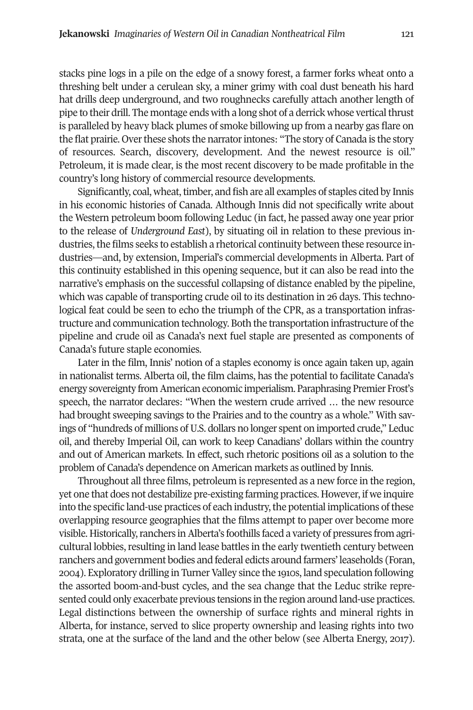stacks pine logs in a pile on the edge of a snowy forest, a farmer forks wheat onto a threshing belt under a cerulean sky, a miner grimy with coal dust beneath his hard hat drills deep underground, and two roughnecks carefully attach another length of pipe to their drill. The montage ends with a long shot of a derrick whose vertical thrust is paralleled by heavy black plumes of smoke billowing up from a nearby gas flare on the flat prairie. Over these shots the narrator intones: "The story of Canada is the story of resources. Search, discovery, development. And the newest resource is oil." Petroleum, it is made clear, is the most recent discovery to be made profitable in the country's long history of commercial resource developments.

Significantly, coal, wheat, timber, and fish are all examples of staples cited by Innis in his economic histories of Canada. Although Innis did not specifically write about the Western petroleum boom following Leduc (in fact, he passed away one year prior to the release of *Underground East*), by situating oil in relation to these previous industries, the films seeks to establish a rhetorical continuity between these resource industries—and, by extension, Imperial's commercial developments in Alberta. Part of this continuity established in this opening sequence, but it can also be read into the narrative's emphasis on the successful collapsing of distance enabled by the pipeline, which was capable of transporting crude oil to its destination in 26 days. This technological feat could be seen to echo the triumph of the CPR, as a transportation infrastructure and communication technology. Both the transportation infrastructure ofthe pipeline and crude oil as Canada's next fuel staple are presented as components of Canada's future staple economies.

Later in the film, Innis' notion of a staples economy is once again taken up, again in nationalist terms. Alberta oil, the film claims, has the potential to facilitate Canada's energy sovereignty from American economic imperialism. Paraphrasing Premier Frost's speech, the narrator declares: "When the western crude arrived … the new resource had brought sweeping savings to the Prairies and to the country as a whole." With savings of "hundreds of millions of U.S. dollars no longer spent on imported crude," Leduc oil, and thereby Imperial Oil, can work to keep Canadians' dollars within the country and out of American markets. In effect, such rhetoric positions oil as a solution to the problem of Canada's dependence on American markets as outlined by Innis.

Throughout all three films, petroleum is represented as a new force in the region, yet one that does not destabilize pre-existing farming practices. However, if we inquire into the specific land-use practices of each industry, the potential implications of these overlapping resource geographies that the films attempt to paper over become more visible. Historically, ranchers in Alberta's foothills faced a variety of pressures from agricultural lobbies, resulting in land lease battles in the early twentieth century between ranchers and government bodies and federal edicts around farmers' leaseholds (Foran, 2004). Exploratory drilling in Turner Valley since the 1910s, land speculation following the assorted boom-and-bust cycles, and the sea change that the Leduc strike represented could only exacerbate previous tensions in the region around land-use practices. Legal distinctions between the ownership of surface rights and mineral rights in Alberta, for instance, served to slice property ownership and leasing rights into two strata, one at the surface of the land and the other below (see Alberta Energy, 2017).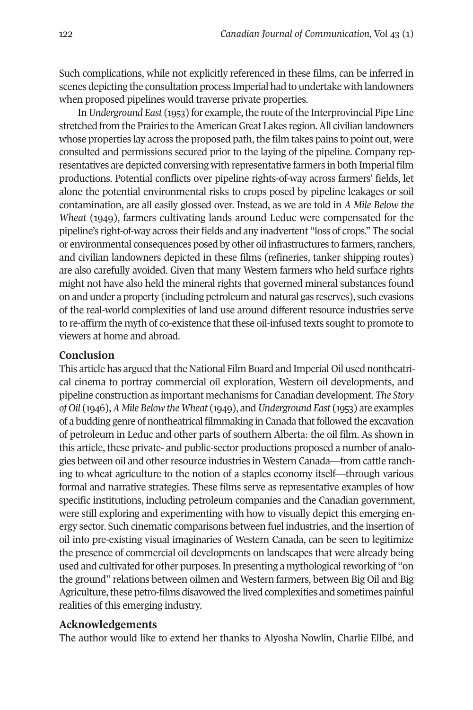Such complications, while not explicitly referenced in these films, can be inferred in scenes depicting the consultation process Imperial had to undertake with landowners when proposed pipelines would traverse private properties.

In Underground *East* (1953) for example, the route of the Interprovincial Pipe Line stretched from the Prairies to the American Great Lakes region. All civilian landowners whose properties lay across the proposed path, the film takes pains to point out, were consulted and permissions secured prior to the laying of the pipeline. Company representatives are depicted conversing with representative farmers in both Imperial film productions. Potential conflicts over pipeline rights-of-way across farmers' fields, let alone the potential environmental risks to crops posed by pipeline leakages or soil contamination, are all easily glossed over. Instead, as we are told in *A Mile Below the Wheat* (1949), farmers cultivating lands around Leduc were compensated for the pipeline's right-of-way across their fields and any inadvertent "loss of crops." The social or environmental consequences posed by other oil infrastructures to farmers,ranchers, and civilian landowners depicted in these films (refineries, tanker shipping routes) are also carefully avoided. Given that many Western farmers who held surface rights might not have also held the mineral rights that governed mineral substances found on and under a property (including petroleum and natural gas reserves), such evasions of the real-world complexities of land use around different resource industries serve to re-affirm the myth of co-existence that these oil-infused texts sought to promote to viewers at home and abroad.

#### **Conclusion**

This article has argued that the National Film Board and Imperial Oil used nontheatrical cinema to portray commercial oil exploration, Western oil developments, and pipeline construction as important mechanisms for Canadian development. *The Story of Oil* (1946),*A Mile Below the Wheat* (1949), and*Underground East* (1953) are examples of a budding genre of nontheatrical filmmaking in Canada thatfollowed the excavation of petroleum in Leduc and other parts of southern Alberta: the oil film. As shown in this article, these private- and public-sector productions proposed a number of analogies between oil and otherresource industries in Western Canada—from cattle ranching to wheat agriculture to the notion of a staples economy itself—through various formal and narrative strategies. These films serve as representative examples of how specific institutions, including petroleum companies and the Canadian government, were still exploring and experimenting with how to visually depict this emerging energy sector. Such cinematic comparisons between fuel industries, and the insertion of oil into pre-existing visual imaginaries of Western Canada, can be seen to legitimize the presence of commercial oil developments on landscapes that were already being used and cultivated for other purposes. In presenting a mythological reworking of "on the ground" relations between oilmen and Western farmers, between Big Oil and Big Agriculture, these petro-films disavowed the lived complexities and sometimes painful realities of this emerging industry.

#### **Acknowledgements**

The author would like to extend her thanks to Alyosha Nowlin, Charlie Ellbé, and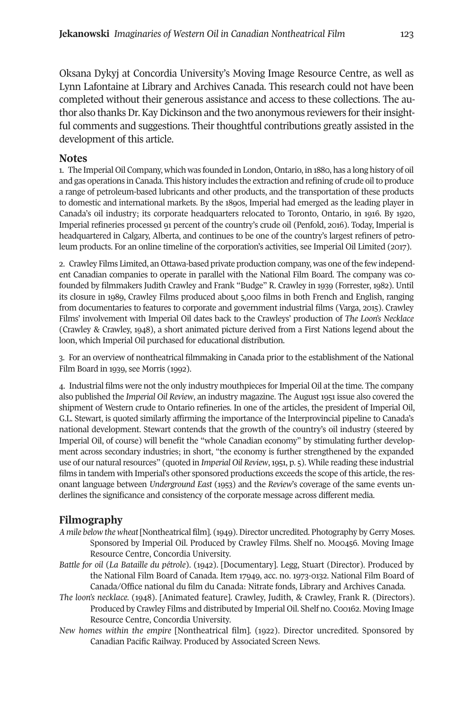Oksana Dykyj at Concordia University's Moving Image Resource Centre, as well as Lynn Lafontaine at Library and Archives Canada. This research could not have been completed without their generous assistance and access to these collections. The author also thanks Dr. Kay Dickinson and the two anonymous reviewers for their insightful comments and suggestions. Their thoughtful contributions greatly assisted in the development of this article.

## <span id="page-12-0"></span>**Notes**

1. The Imperial Oil Company, which was founded in London, Ontario, in 1880, has a long history of oil and gas operations in Canada. This history includes the extraction and refining of crude oilto produce a range of petroleum-based lubricants and other products, and the transportation of these products to domestic and international markets. By the 1890s, Imperial had emerged as the leading player in Canada's oil industry; its corporate headquarters relocated to Toronto, Ontario, in 1916. By 1920, Imperial refineries processed 91 percent of the country's crude oil (Penfold, 2016). Today, Imperial is headquartered in Calgary, Alberta, and continues to be one of the country's largest refiners of petroleum products. For an online timeline of the corporation's activities, see Imperial Oil Limited (2017).

<span id="page-12-1"></span>2. Crawley Films Limited, an Ottawa-based private production company, was one ofthe few independent Canadian companies to operate in parallel with the National Film Board. The company was cofounded by filmmakers Judith Crawley and Frank "Budge" R. Crawley in 1939 (Forrester, 1982). Until its closure in 1989, Crawley Films produced about 5,000 films in both French and English, ranging from documentaries to features to corporate and government industrial films (Varga, 2015). Crawley Films' involvement with Imperial Oil dates back to the Crawleys' production of *The Loon's Necklace* (Crawley & Crawley, 1948), a short animated picture derived from a First Nations legend about the loon, which Imperial Oil purchased for educational distribution.

<span id="page-12-2"></span>3. For an overview of nontheatrical filmmaking in Canada prior to the establishment of the National Film Board in 1939, see Morris (1992).

4. Industrial films were not the only industry mouthpieces forImperial Oil at the time. The company also published the *Imperial Oil Review*, an industry magazine. The August 1951 issue also covered the shipment of Western crude to Ontario refineries. In one of the articles, the president of Imperial Oil, G.L. Stewart, is quoted similarly affirming the importance of the Interprovincial pipeline to Canada's national development. Stewart contends that the growth of the country's oil industry (steered by Imperial Oil, of course) will benefit the "whole Canadian economy" by stimulating further development across secondary industries; in short, "the economy is further strengthened by the expanded use of our natural resources" (quoted in *Imperial Oil Review*, 1951, p. 5). While reading these industrial films in tandem with Imperial's other sponsored productions exceeds the scope of this article, the resonant language between *Underground East* (1953) and the *Review*'s coverage of the same events underlines the significance and consistency of the corporate message across different media.

# **Filmography**

- *A mile below the wheat* [Nontheatrical film]. (1949). Director uncredited. Photography by Gerry Moses. Sponsored by Imperial Oil. Produced by Crawley Films. Shelf no. M00456. Moving Image Resource Centre, Concordia University.
- *Battle for oil* (*La Bataille du pétrole*). (1942). [Documentary]. Legg, Stuart (Director). Produced by the National Film Board of Canada. Item 17949, acc. no. 1973-0132. National Film Board of Canada/Office national du film du Canada: Nitrate fonds, Library and Archives Canada.
- *The loon's necklace.* (1948). [Animated feature]. Crawley, Judith, & Crawley, Frank R. (Directors). Produced by Crawley Films and distributed by Imperial Oil. Shelf no. C00162. Moving Image Resource Centre, Concordia University.
- *New homes within the empire* [Nontheatrical film]*.* (1922). Director uncredited. Sponsored by Canadian Pacific Railway. Produced by Associated Screen News.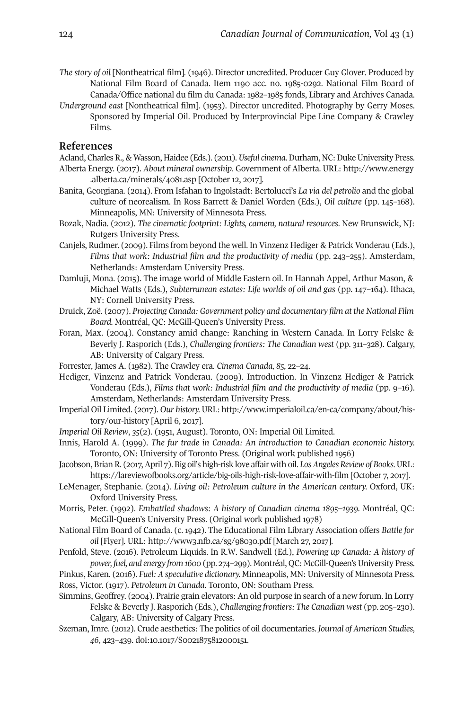- *The story of oil* [Nontheatrical film]*.* (1946). Director uncredited. Producer Guy Glover. Produced by National Film Board of Canada. Item 1190 acc. no. 1985-0292. National Film Board of Canada/Office national du film du Canada: 1982–1985 fonds, Library and Archives Canada.
- *Underground east* [Nontheatrical film]*.* (1953). Director uncredited. Photography by Gerry Moses. Sponsored by Imperial Oil. Produced by Interprovincial Pipe Line Company & Crawley Films.

#### **References**

- Acland, CharlesR., & Wasson, Haidee (Eds.). (2011).*Useful cinema*.Durham, NC:DukeUniversity Press. Alberta Energy. (2017). *About mineral ownership*. Government of Alberta. URL: [http://www.energy](http://www.energy.alberta.ca/minerals/4081.asp) [.alberta.ca/minerals/4081.asp](http://www.energy.alberta.ca/minerals/4081.asp) [October 12, 2017].
- Banita, Georgiana. (2014). From Isfahan to Ingolstadt: Bertolucci's *La via del petrolio* and the global culture of neorealism. In Ross Barrett & Daniel Worden (Eds.), *Oil culture* (pp. 145–168). Minneapolis, MN: University of Minnesota Press.
- Bozak, Nadia. (2012). *The cinematic footprint: Lights, camera, natural resources*. New Brunswick, NJ: Rutgers University Press.
- Canjels, Rudmer. (2009). Films from beyond the well. In Vinzenz Hediger & Patrick Vonderau (Eds.), *Films that work: Industrial film and the productivity of media* (pp. 243–255). Amsterdam, Netherlands: Amsterdam University Press.
- Damluji, Mona. (2015). The image world of Middle Eastern oil. In Hannah Appel, Arthur Mason, & Michael Watts (Eds.), *Subterranean estates: Life worlds of oil and gas* (pp. 147–164). Ithaca, NY: Cornell University Press.
- Druick, Zoë. (2007). *Projecting Canada: Government policy and documentary film at the National Film Board.* Montréal, QC: McGill-Queen's University Press.
- Foran, Max. (2004). Constancy amid change: Ranching in Western Canada. In Lorry Felske & Beverly J. Rasporich (Eds.), *Challenging frontiers: The Canadian west* (pp. 311–328). Calgary, AB: University of Calgary Press.
- Forrester, James A. (1982). The Crawley era. *Cinema Canada, 85,* 22–24.
- Hediger, Vinzenz and Patrick Vonderau. (2009). Introduction. In Vinzenz Hediger & Patrick Vonderau (Eds.), *Films that work: Industrial film and the productivity of media* (pp. 9–16). Amsterdam, Netherlands: Amsterdam University Press.
- Imperial Oil Limited. (2017). *Our history.* URL: [http://www.imperialoil.ca/en-ca/company/about/his](http://www.imperialoil.ca/en-ca/company/about/history/our-history)[tory/our-history](http://www.imperialoil.ca/en-ca/company/about/history/our-history) [April 6, 2017].
- *Imperial Oil Review*, *35*(2). (1951, August). Toronto, ON: Imperial Oil Limited.
- Innis, Harold A. (1999). *The fur trade in Canada: An introduction to Canadian economic history.* Toronto, ON: University of Toronto Press. (Original work published 1956)
- Jacobson, Brian R. (2017, April 7). Big oil's high-risk love affair with oil. Los Angeles Review of Books. URL: <https://lareviewofbooks.org/article/big-oils-high-risk-love-affair-with-film> [October 7, 2017].
- LeMenager, Stephanie. (2014). *Living oil: Petroleum culture in the American century.* Oxford, UK: Oxford University Press.
- Morris, Peter. (1992). *Embattled shadows: A history of Canadian cinema 1895–1939.* Montréal, QC: McGill-Queen's University Press. (Original work published 1978)
- National Film Board of Canada. (c. 1942). The Educational Film Library Association offers *Battle for oil* [Flyer]. URL: <http://www3.nfb.ca/sg/98030.pdf> [March 27, 2017].
- Penfold, Steve. (2016). Petroleum Liquids. In R.W. Sandwell (Ed.), *Powering up Canada: A history of power, fuel, and energy from 1600* (pp. 274–299). Montréal, QC: McGill-Queen'sUniversity Press.
- Pinkus, Karen. (2016). *Fuel: A speculative dictionary.* Minneapolis, MN: University of Minnesota Press. Ross, Victor. (1917). *Petroleum in Canada*. Toronto, ON: Southam Press.
- Simmins, Geoffrey. (2004). Prairie grain elevators: An old purpose in search of a new forum. In Lorry Felske & Beverly J. Rasporich (Eds.), *Challenging frontiers: The Canadian west* (pp. 205–230). Calgary, AB: University of Calgary Press.
- Szeman, Imre. (2012). Crude aesthetics: The politics of oil documentaries. *Journal of American Studies*, *46*, 423–439. [doi:10.1017/S0021875812000151.](http:doi.org/doi:10.1017/S0021875812000151)